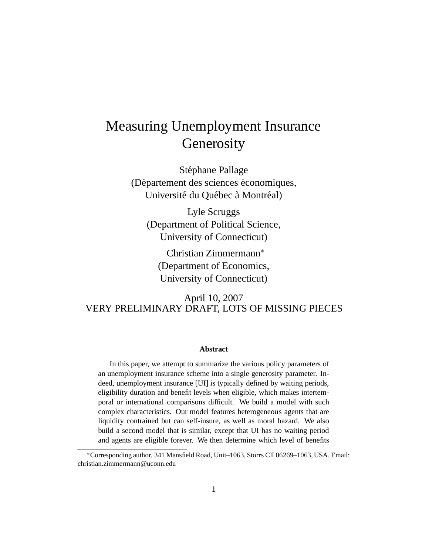# Measuring Unemployment Insurance **Generosity**

Stéphane Pallage (Département des sciences économiques, Université du Québec à Montréal)

Lyle Scruggs (Department of Political Science, University of Connecticut)

Christian Zimmermann<sup>∗</sup> (Department of Economics, University of Connecticut)

April 10, 2007 VERY PRELIMINARY DRAFT, LOTS OF MISSING PIECES

#### **Abstract**

In this paper, we attempt to summarize the various policy parameters of an unemployment insurance scheme into a single generosity parameter. Indeed, unemployment insurance [UI] is typically defined by waiting periods, eligibility duration and benefit levels when eligible, which makes intertemporal or international comparisons difficult. We build a model with such complex characteristics. Our model features heterogeneous agents that are liquidity contrained but can self-insure, as well as moral hazard. We also build a second model that is similar, except that UI has no waiting period and agents are eligible forever. We then determine which level of benefits

<sup>∗</sup>Corresponding author. 341 Mansfield Road, Unit–1063, Storrs CT 06269–1063, USA. Email: christian.zimmermann@uconn.edu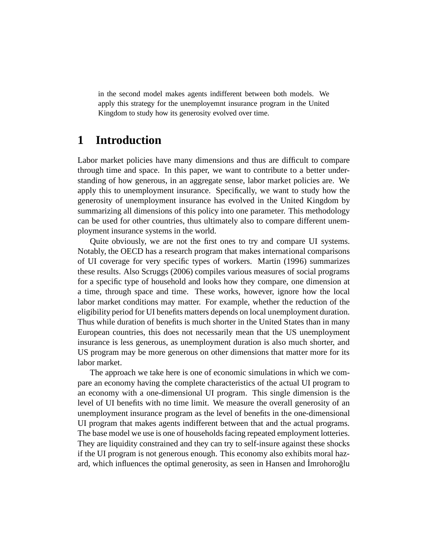in the second model makes agents indifferent between both models. We apply this strategy for the unemployemnt insurance program in the United Kingdom to study how its generosity evolved over time.

## **1 Introduction**

Labor market policies have many dimensions and thus are difficult to compare through time and space. In this paper, we want to contribute to a better understanding of how generous, in an aggregate sense, labor market policies are. We apply this to unemployment insurance. Specifically, we want to study how the generosity of unemployment insurance has evolved in the United Kingdom by summarizing all dimensions of this policy into one parameter. This methodology can be used for other countries, thus ultimately also to compare different unemployment insurance systems in the world.

Quite obviously, we are not the first ones to try and compare UI systems. Notably, the OECD has a research program that makes international comparisons of UI coverage for very specific types of workers. Martin (1996) summarizes these results. Also Scruggs (2006) compiles various measures of social programs for a specific type of household and looks how they compare, one dimension at a time, through space and time. These works, however, ignore how the local labor market conditions may matter. For example, whether the reduction of the eligibility period for UI benefits matters depends on local unemployment duration. Thus while duration of benefits is much shorter in the United States than in many European countries, this does not necessarily mean that the US unemployment insurance is less generous, as unemployment duration is also much shorter, and US program may be more generous on other dimensions that matter more for its labor market.

The approach we take here is one of economic simulations in which we compare an economy having the complete characteristics of the actual UI program to an economy with a one-dimensional UI program. This single dimension is the level of UI benefits with no time limit. We measure the overall generosity of an unemployment insurance program as the level of benefits in the one-dimensional UI program that makes agents indifferent between that and the actual programs. The base model we use is one of households facing repeated employment lotteries. They are liquidity constrained and they can try to self-insure against these shocks if the UI program is not generous enough. This economy also exhibits moral hazard, which influences the optimal generosity, as seen in Hansen and Imrohoroğlu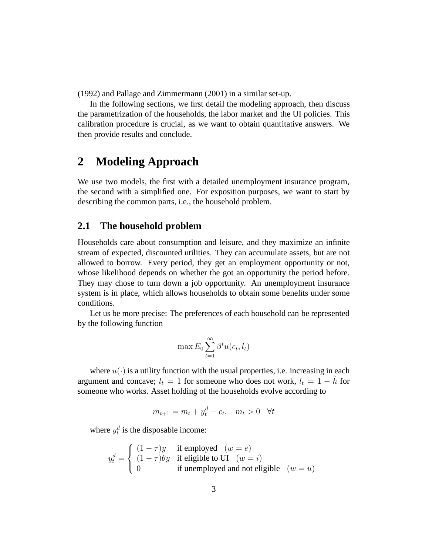(1992) and Pallage and Zimmermann (2001) in a similar set-up.

In the following sections, we first detail the modeling approach, then discuss the parametrization of the households, the labor market and the UI policies. This calibration procedure is crucial, as we want to obtain quantitative answers. We then provide results and conclude.

## **2 Modeling Approach**

We use two models, the first with a detailed unemployment insurance program, the second with a simplified one. For exposition purposes, we want to start by describing the common parts, i.e., the household problem.

#### **2.1 The household problem**

Households care about consumption and leisure, and they maximize an infinite stream of expected, discounted utilities. They can accumulate assets, but are not allowed to borrow. Every period, they get an employment opportunity or not, whose likelihood depends on whether the got an opportunity the period before. They may chose to turn down a job opportunity. An unemployment insurance system is in place, which allows households to obtain some benefits under some conditions.

Let us be more precise: The preferences of each household can be represented by the following function

$$
\max E_0 \sum_{t=1}^{\infty} \beta^t u(c_t, l_t)
$$

where  $u(\cdot)$  is a utility function with the usual properties, i.e. increasing in each argument and concave;  $l_t = 1$  for someone who does not work,  $l_t = 1 - h$  for someone who works. Asset holding of the households evolve according to

$$
m_{t+1} = m_t + y_t^d - c_t, \quad m_t > 0 \quad \forall t
$$

where  $y_t^d$  is the disposable income:

$$
y_t^d = \begin{cases} (1 - \tau)y & \text{if employed} \quad (w = e) \\ (1 - \tau)\theta y & \text{if eligible to UI} \quad (w = i) \\ 0 & \text{if unemployed and not eligible} \quad (w = u) \end{cases}
$$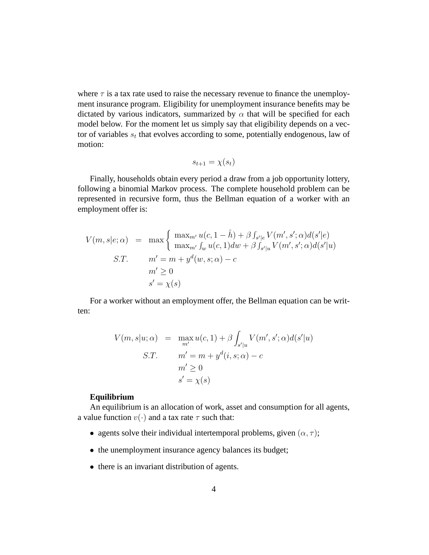where  $\tau$  is a tax rate used to raise the necessary revenue to finance the unemployment insurance program. Eligibility for unemployment insurance benefits may be dictated by various indicators, summarized by  $\alpha$  that will be specified for each model below. For the moment let us simply say that eligibility depends on a vector of variables  $s_t$  that evolves according to some, potentially endogenous, law of motion:

$$
s_{t+1} = \chi(s_t)
$$

Finally, households obtain every period a draw from a job opportunity lottery, following a binomial Markov process. The complete household problem can be represented in recursive form, thus the Bellman equation of a worker with an employment offer is:

$$
V(m, s|e; \alpha) = \max \left\{ \begin{array}{l} \max_{m'} u(c, 1 - \hat{h}) + \beta \int_{s'|e} V(m', s'; \alpha) d(s'|e) \\ \max_{m'} \int_w u(c, 1) dw + \beta \int_{s'|u} V(m', s'; \alpha) d(s'|u) \end{array} \right.
$$
  
\n
$$
S.T. \qquad m' = m + y^d(w, s; \alpha) - c
$$
  
\n
$$
m' \ge 0
$$
  
\n
$$
s' = \chi(s)
$$

For a worker without an employment offer, the Bellman equation can be written:

$$
V(m, s|u; \alpha) = \max_{m'} u(c, 1) + \beta \int_{s'|u} V(m', s'; \alpha) d(s'|u)
$$
  
S.T. 
$$
m' = m + y^d(i, s; \alpha) - c
$$
  

$$
m' \ge 0
$$
  

$$
s' = \chi(s)
$$

#### **Equilibrium**

An equilibrium is an allocation of work, asset and consumption for all agents, a value function  $v(\cdot)$  and a tax rate  $\tau$  such that:

- agents solve their individual intertemporal problems, given  $(\alpha, \tau)$ ;
- the unemployment insurance agency balances its budget;
- there is an invariant distribution of agents.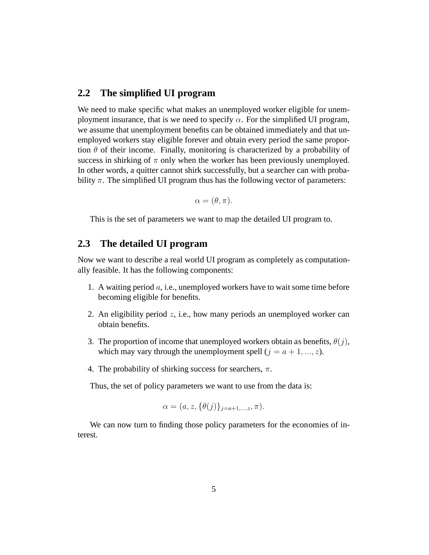### **2.2 The simplified UI program**

We need to make specific what makes an unemployed worker eligible for unemployment insurance, that is we need to specify  $\alpha$ . For the simplified UI program, we assume that unemployment benefits can be obtained immediately and that unemployed workers stay eligible forever and obtain every period the same proportion  $\theta$  of their income. Finally, monitoring is characterized by a probability of success in shirking of  $\pi$  only when the worker has been previously unemployed. In other words, a quitter cannot shirk successfully, but a searcher can with probability  $\pi$ . The simplified UI program thus has the following vector of parameters:

$$
\alpha = (\theta, \pi).
$$

This is the set of parameters we want to map the detailed UI program to.

#### **2.3 The detailed UI program**

Now we want to describe a real world UI program as completely as computationally feasible. It has the following components:

- 1. A waiting period  $a$ , i.e., unemployed workers have to wait some time before becoming eligible for benefits.
- 2. An eligibility period z, i.e., how many periods an unemployed worker can obtain benefits.
- 3. The proportion of income that unemployed workers obtain as benefits,  $\theta(j)$ , which may vary through the unemployment spell  $(j = a + 1, ..., z)$ .
- 4. The probability of shirking success for searchers,  $\pi$ .

Thus, the set of policy parameters we want to use from the data is:

$$
\alpha = (a, z, \{\theta(j)\}_{j=a+1,\dots, z}, \pi).
$$

We can now turn to finding those policy parameters for the economies of interest.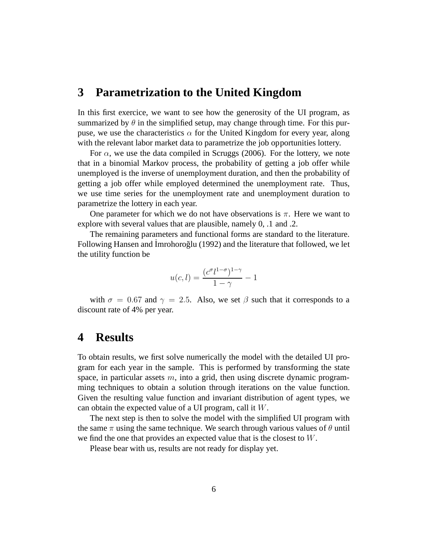## **3 Parametrization to the United Kingdom**

In this first exercice, we want to see how the generosity of the UI program, as summarized by  $\theta$  in the simplified setup, may change through time. For this purpuse, we use the characteristics  $\alpha$  for the United Kingdom for every year, along with the relevant labor market data to parametrize the job opportunities lottery.

For  $\alpha$ , we use the data compiled in Scruggs (2006). For the lottery, we note that in a binomial Markov process, the probability of getting a job offer while unemployed is the inverse of unemployment duration, and then the probability of getting a job offer while employed determined the unemployment rate. Thus, we use time series for the unemployment rate and unemployment duration to parametrize the lottery in each year.

One parameter for which we do not have observations is  $\pi$ . Here we want to explore with several values that are plausible, namely 0, .1 and .2.

The remaining parameters and functional forms are standard to the literature. Following Hansen and Imrohoroğlu (1992) and the literature that followed, we let the utility function be

$$
u(c,l) = \frac{(c^{\sigma}l^{1-\sigma})^{1-\gamma}}{1-\gamma} - 1
$$

with  $\sigma = 0.67$  and  $\gamma = 2.5$ . Also, we set  $\beta$  such that it corresponds to a discount rate of 4% per year.

### **4 Results**

To obtain results, we first solve numerically the model with the detailed UI program for each year in the sample. This is performed by transforming the state space, in particular assets  $m$ , into a grid, then using discrete dynamic programming techniques to obtain a solution through iterations on the value function. Given the resulting value function and invariant distribution of agent types, we can obtain the expected value of a UI program, call it W.

The next step is then to solve the model with the simplified UI program with the same  $\pi$  using the same technique. We search through various values of  $\theta$  until we find the one that provides an expected value that is the closest to W.

Please bear with us, results are not ready for display yet.